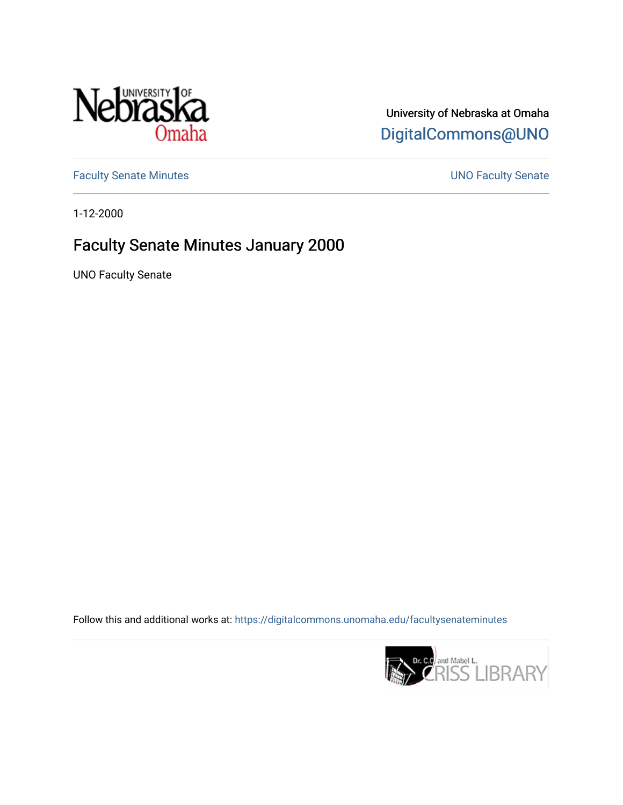

## University of Nebraska at Omaha [DigitalCommons@UNO](https://digitalcommons.unomaha.edu/)

[Faculty Senate Minutes](https://digitalcommons.unomaha.edu/facultysenateminutes) **Exercise Senate UNO Faculty Senate** 

1-12-2000

## Faculty Senate Minutes January 2000

UNO Faculty Senate

Follow this and additional works at: [https://digitalcommons.unomaha.edu/facultysenateminutes](https://digitalcommons.unomaha.edu/facultysenateminutes?utm_source=digitalcommons.unomaha.edu%2Ffacultysenateminutes%2F70&utm_medium=PDF&utm_campaign=PDFCoverPages) 

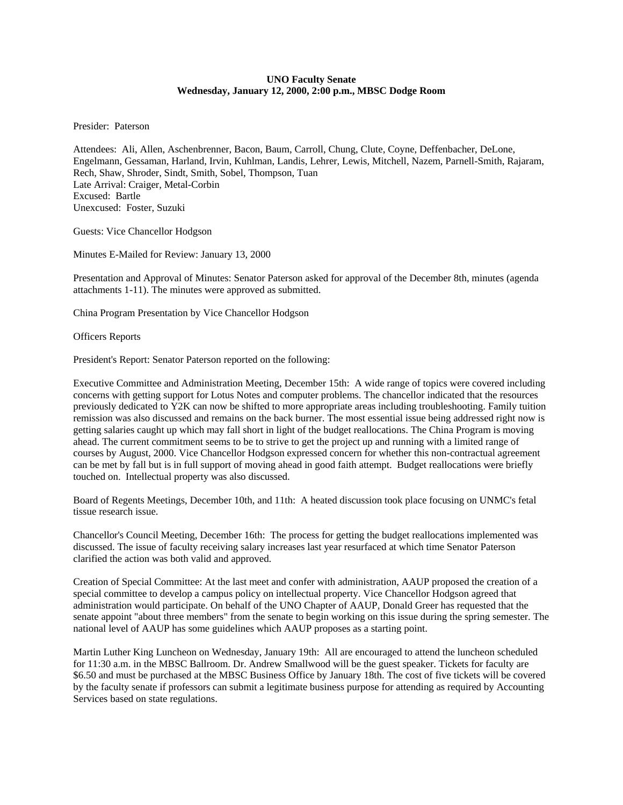## **UNO Faculty Senate Wednesday, January 12, 2000, 2:00 p.m., MBSC Dodge Room**

Presider: Paterson

Attendees: Ali, Allen, Aschenbrenner, Bacon, Baum, Carroll, Chung, Clute, Coyne, Deffenbacher, DeLone, Engelmann, Gessaman, Harland, Irvin, Kuhlman, Landis, Lehrer, Lewis, Mitchell, Nazem, Parnell-Smith, Rajaram, Rech, Shaw, Shroder, Sindt, Smith, Sobel, Thompson, Tuan Late Arrival: Craiger, Metal-Corbin Excused: Bartle Unexcused: Foster, Suzuki

Guests: Vice Chancellor Hodgson

Minutes E-Mailed for Review: January 13, 2000

Presentation and Approval of Minutes: Senator Paterson asked for approval of the December 8th, minutes (agenda attachments 1-11). The minutes were approved as submitted.

China Program Presentation by Vice Chancellor Hodgson

Officers Reports

President's Report: Senator Paterson reported on the following:

Executive Committee and Administration Meeting, December 15th: A wide range of topics were covered including concerns with getting support for Lotus Notes and computer problems. The chancellor indicated that the resources previously dedicated to Y2K can now be shifted to more appropriate areas including troubleshooting. Family tuition remission was also discussed and remains on the back burner. The most essential issue being addressed right now is getting salaries caught up which may fall short in light of the budget reallocations. The China Program is moving ahead. The current commitment seems to be to strive to get the project up and running with a limited range of courses by August, 2000. Vice Chancellor Hodgson expressed concern for whether this non-contractual agreement can be met by fall but is in full support of moving ahead in good faith attempt. Budget reallocations were briefly touched on. Intellectual property was also discussed.

Board of Regents Meetings, December 10th, and 11th: A heated discussion took place focusing on UNMC's fetal tissue research issue.

Chancellor's Council Meeting, December 16th: The process for getting the budget reallocations implemented was discussed. The issue of faculty receiving salary increases last year resurfaced at which time Senator Paterson clarified the action was both valid and approved.

Creation of Special Committee: At the last meet and confer with administration, AAUP proposed the creation of a special committee to develop a campus policy on intellectual property. Vice Chancellor Hodgson agreed that administration would participate. On behalf of the UNO Chapter of AAUP, Donald Greer has requested that the senate appoint "about three members" from the senate to begin working on this issue during the spring semester. The national level of AAUP has some guidelines which AAUP proposes as a starting point.

Martin Luther King Luncheon on Wednesday, January 19th: All are encouraged to attend the luncheon scheduled for 11:30 a.m. in the MBSC Ballroom. Dr. Andrew Smallwood will be the guest speaker. Tickets for faculty are \$6.50 and must be purchased at the MBSC Business Office by January 18th. The cost of five tickets will be covered by the faculty senate if professors can submit a legitimate business purpose for attending as required by Accounting Services based on state regulations.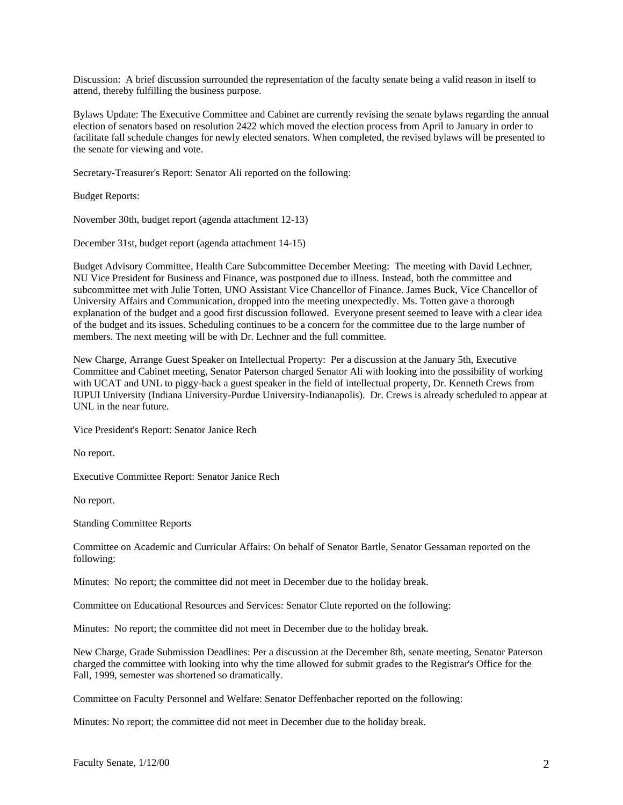Discussion: A brief discussion surrounded the representation of the faculty senate being a valid reason in itself to attend, thereby fulfilling the business purpose.

Bylaws Update: The Executive Committee and Cabinet are currently revising the senate bylaws regarding the annual election of senators based on resolution 2422 which moved the election process from April to January in order to facilitate fall schedule changes for newly elected senators. When completed, the revised bylaws will be presented to the senate for viewing and vote.

Secretary-Treasurer's Report: Senator Ali reported on the following:

Budget Reports:

November 30th, budget report (agenda attachment 12-13)

December 31st, budget report (agenda attachment 14-15)

Budget Advisory Committee, Health Care Subcommittee December Meeting: The meeting with David Lechner, NU Vice President for Business and Finance, was postponed due to illness. Instead, both the committee and subcommittee met with Julie Totten, UNO Assistant Vice Chancellor of Finance. James Buck, Vice Chancellor of University Affairs and Communication, dropped into the meeting unexpectedly. Ms. Totten gave a thorough explanation of the budget and a good first discussion followed. Everyone present seemed to leave with a clear idea of the budget and its issues. Scheduling continues to be a concern for the committee due to the large number of members. The next meeting will be with Dr. Lechner and the full committee.

New Charge, Arrange Guest Speaker on Intellectual Property: Per a discussion at the January 5th, Executive Committee and Cabinet meeting, Senator Paterson charged Senator Ali with looking into the possibility of working with UCAT and UNL to piggy-back a guest speaker in the field of intellectual property, Dr. Kenneth Crews from IUPUI University (Indiana University-Purdue University-Indianapolis). Dr. Crews is already scheduled to appear at UNL in the near future.

Vice President's Report: Senator Janice Rech

No report.

Executive Committee Report: Senator Janice Rech

No report.

Standing Committee Reports

Committee on Academic and Curricular Affairs: On behalf of Senator Bartle, Senator Gessaman reported on the following:

Minutes: No report; the committee did not meet in December due to the holiday break.

Committee on Educational Resources and Services: Senator Clute reported on the following:

Minutes: No report; the committee did not meet in December due to the holiday break.

New Charge, Grade Submission Deadlines: Per a discussion at the December 8th, senate meeting, Senator Paterson charged the committee with looking into why the time allowed for submit grades to the Registrar's Office for the Fall, 1999, semester was shortened so dramatically.

Committee on Faculty Personnel and Welfare: Senator Deffenbacher reported on the following:

Minutes: No report; the committee did not meet in December due to the holiday break.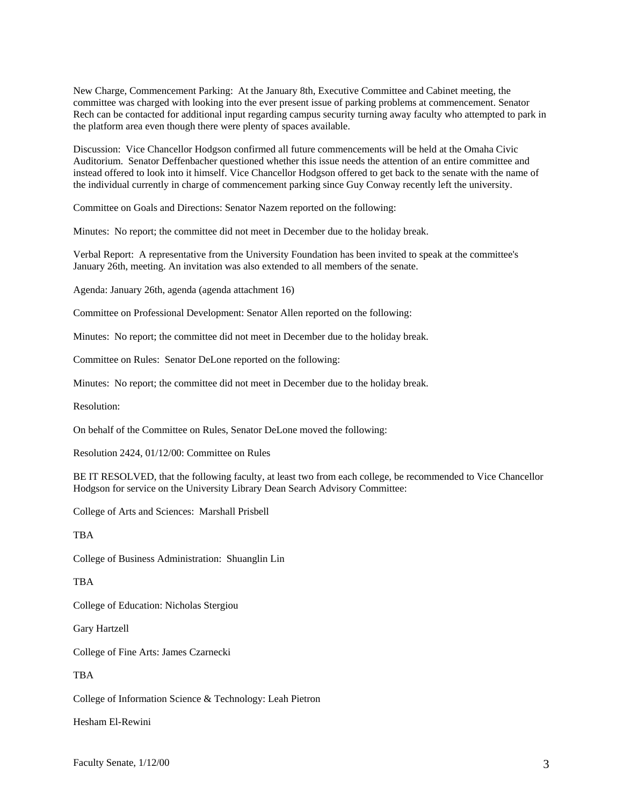New Charge, Commencement Parking: At the January 8th, Executive Committee and Cabinet meeting, the committee was charged with looking into the ever present issue of parking problems at commencement. Senator Rech can be contacted for additional input regarding campus security turning away faculty who attempted to park in the platform area even though there were plenty of spaces available.

Discussion: Vice Chancellor Hodgson confirmed all future commencements will be held at the Omaha Civic Auditorium. Senator Deffenbacher questioned whether this issue needs the attention of an entire committee and instead offered to look into it himself. Vice Chancellor Hodgson offered to get back to the senate with the name of the individual currently in charge of commencement parking since Guy Conway recently left the university.

Committee on Goals and Directions: Senator Nazem reported on the following:

Minutes: No report; the committee did not meet in December due to the holiday break.

Verbal Report: A representative from the University Foundation has been invited to speak at the committee's January 26th, meeting. An invitation was also extended to all members of the senate.

Agenda: January 26th, agenda (agenda attachment 16)

Committee on Professional Development: Senator Allen reported on the following:

Minutes: No report; the committee did not meet in December due to the holiday break.

Committee on Rules: Senator DeLone reported on the following:

Minutes: No report; the committee did not meet in December due to the holiday break.

Resolution:

On behalf of the Committee on Rules, Senator DeLone moved the following:

Resolution 2424, 01/12/00: Committee on Rules

BE IT RESOLVED, that the following faculty, at least two from each college, be recommended to Vice Chancellor Hodgson for service on the University Library Dean Search Advisory Committee:

College of Arts and Sciences: Marshall Prisbell

**TRA** 

College of Business Administration: Shuanglin Lin

TBA

College of Education: Nicholas Stergiou

Gary Hartzell

College of Fine Arts: James Czarnecki

**TRA** 

College of Information Science & Technology: Leah Pietron

Hesham El-Rewini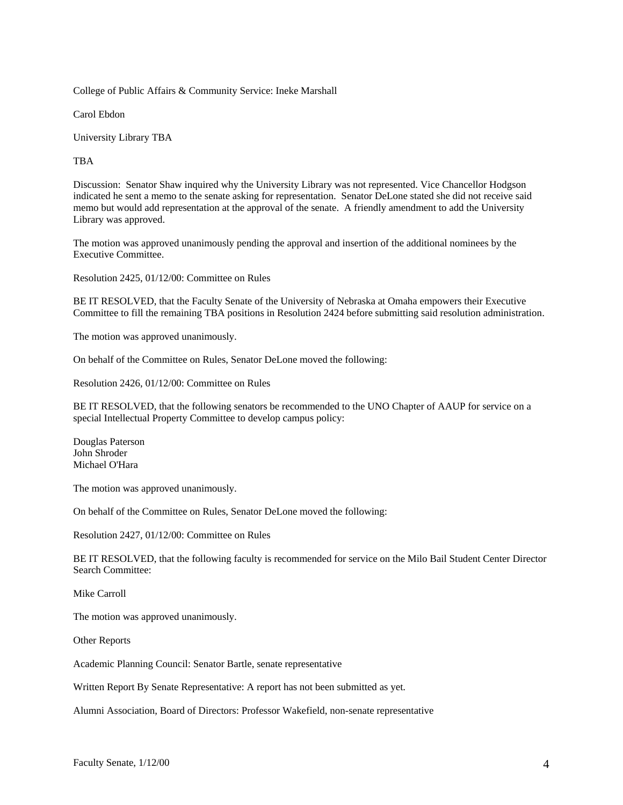College of Public Affairs & Community Service: Ineke Marshall

Carol Ebdon

University Library TBA

TBA

Discussion: Senator Shaw inquired why the University Library was not represented. Vice Chancellor Hodgson indicated he sent a memo to the senate asking for representation. Senator DeLone stated she did not receive said memo but would add representation at the approval of the senate. A friendly amendment to add the University Library was approved.

The motion was approved unanimously pending the approval and insertion of the additional nominees by the Executive Committee.

Resolution 2425, 01/12/00: Committee on Rules

BE IT RESOLVED, that the Faculty Senate of the University of Nebraska at Omaha empowers their Executive Committee to fill the remaining TBA positions in Resolution 2424 before submitting said resolution administration.

The motion was approved unanimously.

On behalf of the Committee on Rules, Senator DeLone moved the following:

Resolution 2426, 01/12/00: Committee on Rules

BE IT RESOLVED, that the following senators be recommended to the UNO Chapter of AAUP for service on a special Intellectual Property Committee to develop campus policy:

Douglas Paterson John Shroder Michael O'Hara

The motion was approved unanimously.

On behalf of the Committee on Rules, Senator DeLone moved the following:

Resolution 2427, 01/12/00: Committee on Rules

BE IT RESOLVED, that the following faculty is recommended for service on the Milo Bail Student Center Director Search Committee:

Mike Carroll

The motion was approved unanimously.

Other Reports

Academic Planning Council: Senator Bartle, senate representative

Written Report By Senate Representative: A report has not been submitted as yet.

Alumni Association, Board of Directors: Professor Wakefield, non-senate representative